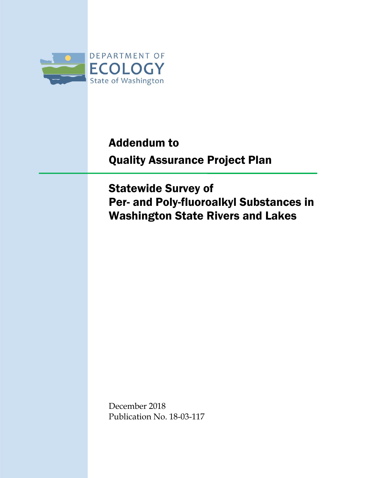

# Addendum to Quality Assurance Project Plan

Statewide Survey of Per- and Poly-fluoroalkyl Substances in Washington State Rivers and Lakes

December 2018 Publication No. 18-03-117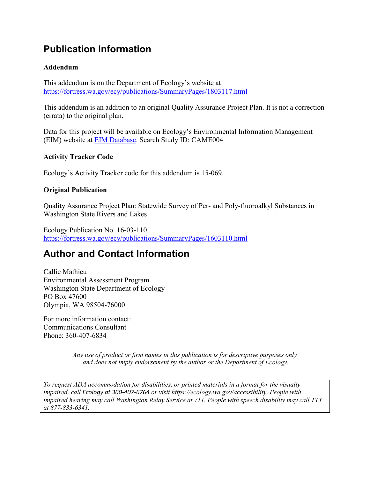### **Publication Information**

#### **Addendum**

This addendum is on the Department of Ecology's website at <https://fortress.wa.gov/ecy/publications/SummaryPages/1803117.html>

This addendum is an addition to an original Quality Assurance Project Plan. It is not a correction (errata) to the original plan.

Data for this project will be available on Ecology's Environmental Information Management (EIM) website at [EIM Database.](https://www.ecology.wa.gov/Research-Data/Data-resources/Environmental-Information-Management-database) Search Study ID: CAME004

#### **Activity Tracker Code**

Ecology's Activity Tracker code for this addendum is 15-069.

#### **Original Publication**

Quality Assurance Project Plan: Statewide Survey of Per- and Poly-fluoroalkyl Substances in Washington State Rivers and Lakes

Ecology Publication No. 16-03-110 <https://fortress.wa.gov/ecy/publications/SummaryPages/1603110.html>

#### **Author and Contact Information**

Callie Mathieu Environmental Assessment Program Washington State Department of Ecology PO Box 47600 Olympia, WA 98504-76000

For more information contact: Communications Consultant Phone: 360-407-6834

> *Any use of product or firm names in this publication is for descriptive purposes only and does not imply endorsement by the author or the Department of Ecology.*

*To request ADA accommodation for disabilities, or printed materials in a format for the visually impaired, call Ecology at 360-407-6764 or visit https://ecology.wa.gov/accessibility. People with impaired hearing may call Washington Relay Service at 711. People with speech disability may call TTY at 877-833-6341.*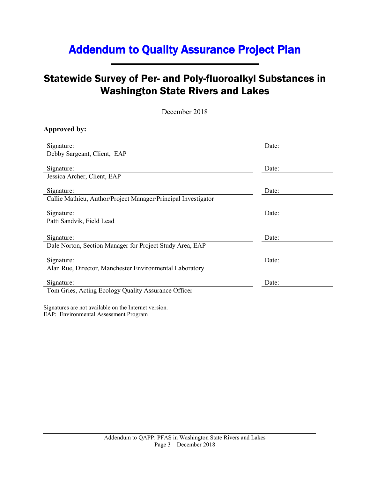### Addendum to Quality Assurance Project Plan

### Statewide Survey of Per- and Poly-fluoroalkyl Substances in Washington State Rivers and Lakes

December 2018

#### **Approved by:**

| Signature:                                                    | Date: |
|---------------------------------------------------------------|-------|
| Debby Sargeant, Client, EAP                                   |       |
|                                                               |       |
| Signature:                                                    | Date: |
| Jessica Archer, Client, EAP                                   |       |
|                                                               |       |
| Signature:                                                    | Date: |
| Callie Mathieu, Author/Project Manager/Principal Investigator |       |
|                                                               |       |
| Signature:                                                    | Date: |
| Patti Sandvik, Field Lead                                     |       |
|                                                               |       |
| Signature:                                                    | Date: |
| Dale Norton, Section Manager for Project Study Area, EAP      |       |
|                                                               |       |
| Signature:                                                    | Date: |
| Alan Rue, Director, Manchester Environmental Laboratory       |       |
|                                                               |       |
| Signature:                                                    | Date: |
| Tom Gries, Acting Ecology Quality Assurance Officer           |       |
|                                                               |       |

Signatures are not available on the Internet version. EAP: Environmental Assessment Program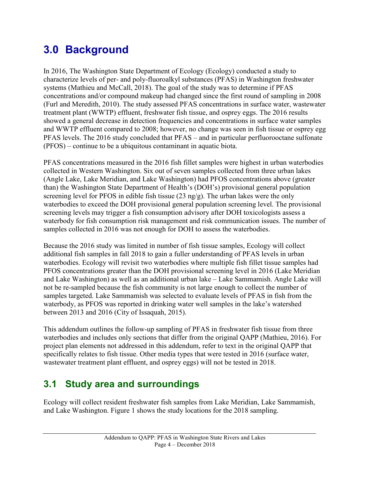## **3.0 Background**

In 2016, The Washington State Department of Ecology (Ecology) conducted a study to characterize levels of per- and poly-fluoroalkyl substances (PFAS) in Washington freshwater systems (Mathieu and McCall, 2018). The goal of the study was to determine if PFAS concentrations and/or compound makeup had changed since the first round of sampling in 2008 (Furl and Meredith, 2010). The study assessed PFAS concentrations in surface water, wastewater treatment plant (WWTP) effluent, freshwater fish tissue, and osprey eggs. The 2016 results showed a general decrease in detection frequencies and concentrations in surface water samples and WWTP effluent compared to 2008; however, no change was seen in fish tissue or osprey egg PFAS levels. The 2016 study concluded that PFAS – and in particular perfluorooctane sulfonate (PFOS) – continue to be a ubiquitous contaminant in aquatic biota.

PFAS concentrations measured in the 2016 fish fillet samples were highest in urban waterbodies collected in Western Washington. Six out of seven samples collected from three urban lakes (Angle Lake, Lake Meridian, and Lake Washington) had PFOS concentrations above (greater than) the Washington State Department of Health's (DOH's) provisional general population screening level for PFOS in edible fish tissue (23 ng/g). The urban lakes were the only waterbodies to exceed the DOH provisional general population screening level. The provisional screening levels may trigger a fish consumption advisory after DOH toxicologists assess a waterbody for fish consumption risk management and risk communication issues. The number of samples collected in 2016 was not enough for DOH to assess the waterbodies.

Because the 2016 study was limited in number of fish tissue samples, Ecology will collect additional fish samples in fall 2018 to gain a fuller understanding of PFAS levels in urban waterbodies. Ecology will revisit two waterbodies where multiple fish fillet tissue samples had PFOS concentrations greater than the DOH provisional screening level in 2016 (Lake Meridian and Lake Washington) as well as an additional urban lake – Lake Sammamish. Angle Lake will not be re-sampled because the fish community is not large enough to collect the number of samples targeted. Lake Sammamish was selected to evaluate levels of PFAS in fish from the waterbody, as PFOS was reported in drinking water well samples in the lake's watershed between 2013 and 2016 (City of Issaquah, 2015).

This addendum outlines the follow-up sampling of PFAS in freshwater fish tissue from three waterbodies and includes only sections that differ from the original QAPP (Mathieu, 2016). For project plan elements not addressed in this addendum, refer to text in the original QAPP that specifically relates to fish tissue. Other media types that were tested in 2016 (surface water, wastewater treatment plant effluent, and osprey eggs) will not be tested in 2018.

### **3.1 Study area and surroundings**

Ecology will collect resident freshwater fish samples from Lake Meridian, Lake Sammamish, and Lake Washington. Figure 1 shows the study locations for the 2018 sampling.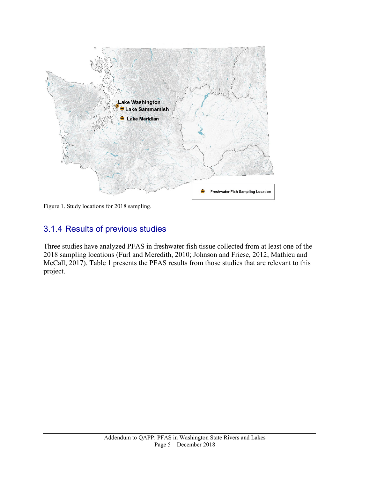

Figure 1. Study locations for 2018 sampling.

#### 3.1.4 Results of previous studies

Three studies have analyzed PFAS in freshwater fish tissue collected from at least one of the 2018 sampling locations (Furl and Meredith, 2010; Johnson and Friese, 2012; Mathieu and McCall, 2017). Table 1 presents the PFAS results from those studies that are relevant to this project.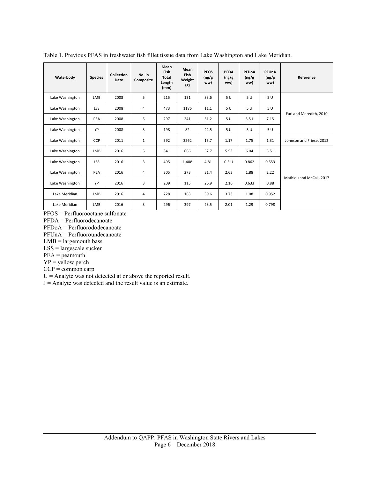| Waterbody       | <b>Species</b> | Collection<br>Date | No. in<br>Composite | Mean<br>Fish<br>Total<br>Length<br>(mm) | Mean<br><b>Fish</b><br>Weight<br>(g) | <b>PFOS</b><br>(ng/g)<br>ww) | PFDA<br>(ng/g)<br>ww) | PFDoA<br>(ng/g)<br>ww) | PFUnA<br>(ng/g)<br>ww) | Reference                |  |
|-----------------|----------------|--------------------|---------------------|-----------------------------------------|--------------------------------------|------------------------------|-----------------------|------------------------|------------------------|--------------------------|--|
| Lake Washington | LMB            | 2008               | 5                   | 215                                     | 131                                  | 33.6                         | 5 U                   | 5U                     | 5U                     |                          |  |
| Lake Washington | <b>LSS</b>     | 2008               | 4                   | 473                                     | 1186                                 | 11.1                         | 5U                    | 5U                     | 5U                     |                          |  |
| Lake Washington | PEA            | 2008               | 5                   | 297                                     | 241                                  | 51.2                         | 5U                    | 5.5J                   | 7.15                   | Furl and Meredith, 2010  |  |
| Lake Washington | YP             | 2008               | 3                   | 198                                     | 82                                   | 22.5                         | 5U                    | 5U                     | 5U                     |                          |  |
| Lake Washington | CCP            | 2011               | $\mathbf{1}$        | 592                                     | 3262                                 | 15.7                         | 1.17                  | 1.75                   | 1.31                   | Johnson and Friese, 2012 |  |
| Lake Washington | LMB            | 2016               | 5                   | 341                                     | 666                                  | 52.7                         | 5.53                  | 6.04                   | 5.51                   |                          |  |
| Lake Washington | <b>LSS</b>     | 2016               | 3                   | 495                                     | 1,408                                | 4.81                         | 0.5U                  | 0.862                  | 0.553                  |                          |  |
| Lake Washington | PEA            | 2016               | 4                   | 305                                     | 273                                  | 31.4                         | 2.63                  | 1.88                   | 2.22                   | Mathieu and McCall, 2017 |  |
| Lake Washington | YP             | 2016               | 3                   | 209                                     | 115                                  | 26.9                         | 2.16                  | 0.633                  | 0.88                   |                          |  |
| Lake Meridian   | LMB            | 2016               | 4                   | 228                                     | 163                                  | 39.6                         | 3.73                  | 1.08                   | 0.952                  |                          |  |
| Lake Meridian   | LMB            | 2016               | 3                   | 296                                     | 397                                  | 23.5                         | 2.01                  | 1.29                   | 0.798                  |                          |  |

Table 1. Previous PFAS in freshwater fish fillet tissue data from Lake Washington and Lake Meridian.

PFOS = Perfluorooctane sulfonate

PFDA = Perfluorodecanoate

PFDoA = Perfluorododecanoate

PFUnA = Perfluoroundecanoate

 $LMB =$  largemouth bass

LSS = largescale sucker

PEA = peamouth

 $YP =$  yellow perch

 $CCP =$ common carp

 $U =$  Analyte was not detected at or above the reported result.

 $J =$  Analyte was detected and the result value is an estimate.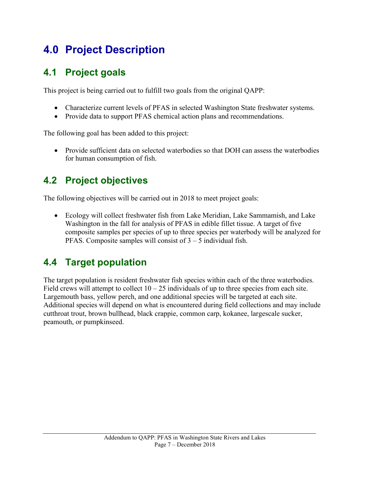## **4.0 Project Description**

### **4.1 Project goals**

This project is being carried out to fulfill two goals from the original QAPP:

- Characterize current levels of PFAS in selected Washington State freshwater systems.
- Provide data to support PFAS chemical action plans and recommendations.

The following goal has been added to this project:

• Provide sufficient data on selected waterbodies so that DOH can assess the waterbodies for human consumption of fish.

### **4.2 Project objectives**

The following objectives will be carried out in 2018 to meet project goals:

• Ecology will collect freshwater fish from Lake Meridian, Lake Sammamish, and Lake Washington in the fall for analysis of PFAS in edible fillet tissue. A target of five composite samples per species of up to three species per waterbody will be analyzed for PFAS. Composite samples will consist of 3 – 5 individual fish.

### **4.4 Target population**

The target population is resident freshwater fish species within each of the three waterbodies. Field crews will attempt to collect  $10 - 25$  individuals of up to three species from each site. Largemouth bass, yellow perch, and one additional species will be targeted at each site. Additional species will depend on what is encountered during field collections and may include cutthroat trout, brown bullhead, black crappie, common carp, kokanee, largescale sucker, peamouth, or pumpkinseed.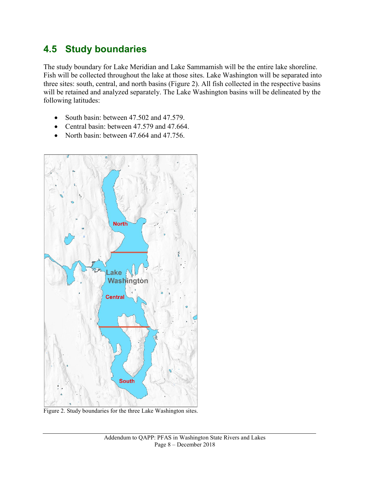#### **4.5 Study boundaries**

The study boundary for Lake Meridian and Lake Sammamish will be the entire lake shoreline. Fish will be collected throughout the lake at those sites. Lake Washington will be separated into three sites: south, central, and north basins (Figure 2). All fish collected in the respective basins will be retained and analyzed separately. The Lake Washington basins will be delineated by the following latitudes:

- South basin: between 47.502 and 47.579.
- Central basin: between 47.579 and 47.664.
- North basin: between 47.664 and 47.756.



Figure 2. Study boundaries for the three Lake Washington sites.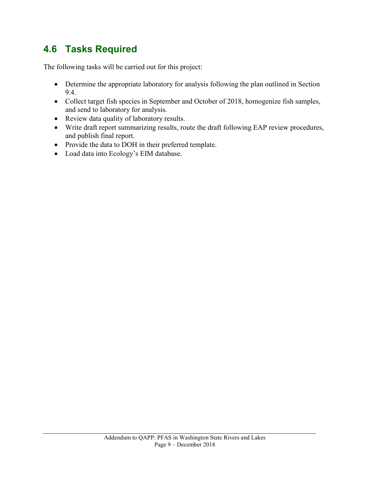### **4.6 Tasks Required**

The following tasks will be carried out for this project:

- Determine the appropriate laboratory for analysis following the plan outlined in Section 9.4.
- Collect target fish species in September and October of 2018, homogenize fish samples, and send to laboratory for analysis.
- Review data quality of laboratory results.
- Write draft report summarizing results, route the draft following EAP review procedures, and publish final report.
- Provide the data to DOH in their preferred template.
- Load data into Ecology's EIM database.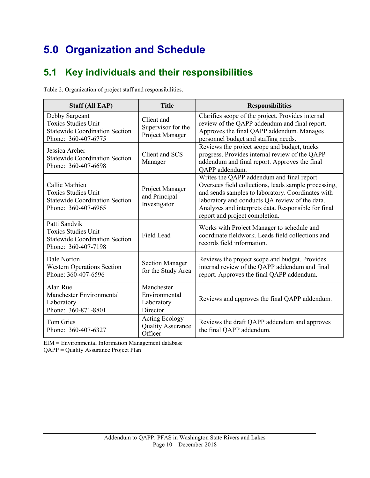# **5.0 Organization and Schedule**

### **5.1 Key individuals and their responsibilities**

Table 2. Organization of project staff and responsibilities.

| <b>Staff (All EAP)</b>                                                                                       | <b>Title</b>                                                 | <b>Responsibilities</b>                                                                                                                                                                                                                                                                            |
|--------------------------------------------------------------------------------------------------------------|--------------------------------------------------------------|----------------------------------------------------------------------------------------------------------------------------------------------------------------------------------------------------------------------------------------------------------------------------------------------------|
| Debby Sargeant<br><b>Toxics Studies Unit</b><br><b>Statewide Coordination Section</b><br>Phone: 360-407-6775 | Client and<br>Supervisor for the<br>Project Manager          | Clarifies scope of the project. Provides internal<br>review of the QAPP addendum and final report.<br>Approves the final QAPP addendum. Manages<br>personnel budget and staffing needs.                                                                                                            |
| Jessica Archer<br><b>Statewide Coordination Section</b><br>Phone: 360-407-6698                               | Client and SCS<br>Manager                                    | Reviews the project scope and budget, tracks<br>progress. Provides internal review of the QAPP<br>addendum and final report. Approves the final<br>QAPP addendum.                                                                                                                                  |
| Callie Mathieu<br><b>Toxics Studies Unit</b><br><b>Statewide Coordination Section</b><br>Phone: 360-407-6965 | Project Manager<br>and Principal<br>Investigator             | Writes the QAPP addendum and final report.<br>Oversees field collections, leads sample processing,<br>and sends samples to laboratory. Coordinates with<br>laboratory and conducts QA review of the data.<br>Analyzes and interprets data. Responsible for final<br>report and project completion. |
| Patti Sandvik<br><b>Toxics Studies Unit</b><br><b>Statewide Coordination Section</b><br>Phone: 360-407-7198  | <b>Field Lead</b>                                            | Works with Project Manager to schedule and<br>coordinate fieldwork. Leads field collections and<br>records field information.                                                                                                                                                                      |
| Dale Norton<br><b>Western Operations Section</b><br>Phone: 360-407-6596                                      | <b>Section Manager</b><br>for the Study Area                 | Reviews the project scope and budget. Provides<br>internal review of the QAPP addendum and final<br>report. Approves the final QAPP addendum.                                                                                                                                                      |
| Alan Rue<br>Manchester Environmental<br>Laboratory<br>Phone: 360-871-8801                                    | Manchester<br>Environmental<br>Laboratory<br>Director        | Reviews and approves the final QAPP addendum.                                                                                                                                                                                                                                                      |
| <b>Tom Gries</b><br>Phone: 360-407-6327                                                                      | <b>Acting Ecology</b><br><b>Quality Assurance</b><br>Officer | Reviews the draft QAPP addendum and approves<br>the final QAPP addendum.                                                                                                                                                                                                                           |

EIM = Environmental Information Management database

QAPP = Quality Assurance Project Plan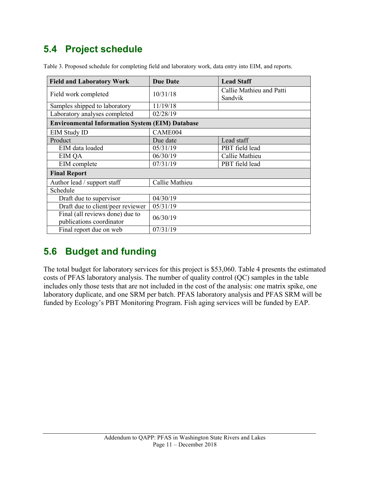### **5.4 Project schedule**

| <b>Field and Laboratory Work</b>                            | <b>Due Date</b> | <b>Lead Staff</b>                   |  |  |
|-------------------------------------------------------------|-----------------|-------------------------------------|--|--|
| Field work completed                                        | 10/31/18        | Callie Mathieu and Patti<br>Sandvik |  |  |
| Samples shipped to laboratory                               | 11/19/18        |                                     |  |  |
| Laboratory analyses completed                               | 02/28/19        |                                     |  |  |
| <b>Environmental Information System (EIM) Database</b>      |                 |                                     |  |  |
| <b>EIM Study ID</b>                                         | CAME004         |                                     |  |  |
| Product                                                     | Due date        | Lead staff                          |  |  |
| EIM data loaded                                             | 05/31/19        | PBT field lead                      |  |  |
| <b>EIM QA</b>                                               | 06/30/19        | Callie Mathieu                      |  |  |
| EIM complete                                                | 07/31/19        | PBT field lead                      |  |  |
| <b>Final Report</b>                                         |                 |                                     |  |  |
| Author lead / support staff                                 | Callie Mathieu  |                                     |  |  |
| Schedule                                                    |                 |                                     |  |  |
| Draft due to supervisor                                     | 04/30/19        |                                     |  |  |
| Draft due to client/peer reviewer                           | 05/31/19        |                                     |  |  |
| Final (all reviews done) due to<br>publications coordinator | 06/30/19        |                                     |  |  |
| Final report due on web                                     | 07/31/19        |                                     |  |  |

Table 3. Proposed schedule for completing field and laboratory work, data entry into EIM, and reports.

#### **5.6 Budget and funding**

The total budget for laboratory services for this project is \$53,060. Table 4 presents the estimated costs of PFAS laboratory analysis. The number of quality control (QC) samples in the table includes only those tests that are not included in the cost of the analysis: one matrix spike, one laboratory duplicate, and one SRM per batch. PFAS laboratory analysis and PFAS SRM will be funded by Ecology's PBT Monitoring Program. Fish aging services will be funded by EAP.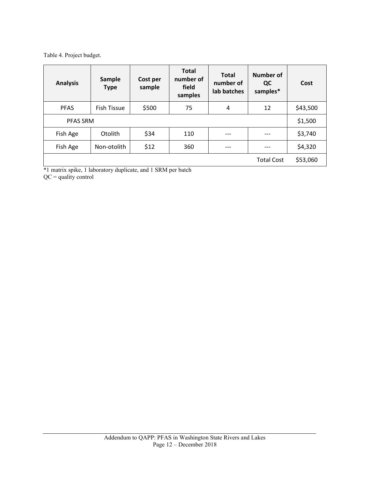Table 4. Project budget.

| <b>Analysis</b>                                                                                                                                            | <b>Sample</b><br><b>Type</b> | Cost per<br>sample | <b>Total</b><br>number of<br>field<br>samples | <b>Total</b><br>number of<br>lab batches | <b>Number of</b><br>QC<br>samples* | Cost     |
|------------------------------------------------------------------------------------------------------------------------------------------------------------|------------------------------|--------------------|-----------------------------------------------|------------------------------------------|------------------------------------|----------|
| <b>PFAS</b>                                                                                                                                                | <b>Fish Tissue</b>           | \$500              | 75                                            | 4                                        | 12                                 | \$43,500 |
| <b>PFAS SRM</b>                                                                                                                                            |                              |                    |                                               |                                          |                                    | \$1,500  |
| Fish Age                                                                                                                                                   | Otolith                      | \$34               | 110                                           | ---                                      |                                    | \$3,740  |
| Fish Age                                                                                                                                                   | Non-otolith                  | \$12               | 360                                           | ---                                      |                                    | \$4,320  |
| <b>Total Cost</b><br>$\sim$ $\sim$<br>$\mathbf{A} \cdot \mathbf{A}$<br>$\cdot$<br>$\cdot$ $\cdot$<br>.<br>$\mathbf{r}$ . And $\mathbf{r}$<br>$\sim$ $\sim$ |                              |                    |                                               |                                          |                                    |          |

\*1 matrix spike, 1 laboratory duplicate, and 1 SRM per batch QC = quality control

> Addendum to QAPP: PFAS in Washington State Rivers and Lakes Page 12 – December 2018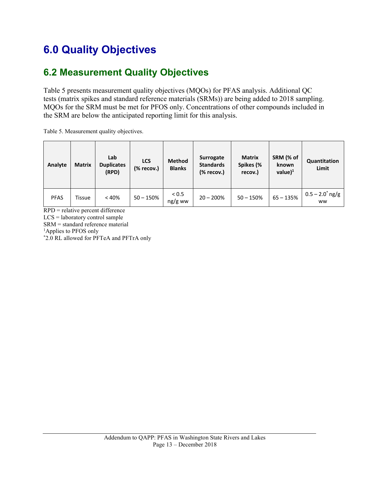## **6.0 Quality Objectives**

### **6.2 Measurement Quality Objectives**

Table 5 presents measurement quality objectives (MQOs) for PFAS analysis. Additional QC tests (matrix spikes and standard reference materials (SRMs)) are being added to 2018 sampling. MQOs for the SRM must be met for PFOS only. Concentrations of other compounds included in the SRM are below the anticipated reporting limit for this analysis.

Table 5. Measurement quality objectives.

| Analyte     | <b>Matrix</b> | Lab<br><b>Duplicates</b><br>(RPD) | <b>LCS</b><br>(% recov.) | <b>Method</b><br><b>Blanks</b> | Surrogate<br><b>Standards</b><br>$%$ recov.) | <b>Matrix</b><br>Spikes (%<br>recov.) | SRM (% of<br>known<br>value $)^1$ | Quantitation<br>Limit                 |
|-------------|---------------|-----------------------------------|--------------------------|--------------------------------|----------------------------------------------|---------------------------------------|-----------------------------------|---------------------------------------|
| <b>PFAS</b> | <b>Tissue</b> | < 40%                             | $50 - 150%$              | < 0.5<br>$ng/g$ ww             | $20 - 200\%$                                 | $50 - 150%$                           | $65 - 135%$                       | $0.5 - 2.0^{\circ}$ ng/g<br><b>WW</b> |

RPD = relative percent difference

LCS = laboratory control sample

SRM = standard reference material

<sup>1</sup>Applies to PFOS only

\* 2.0 RL allowed for PFTeA and PFTrA only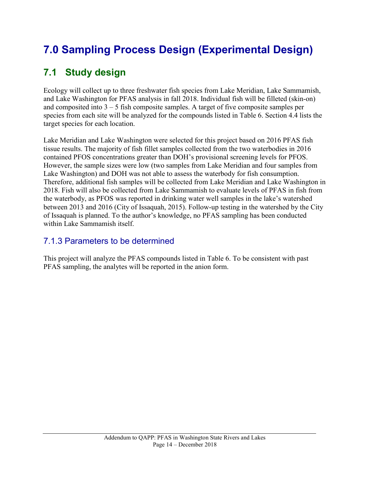# **7.0 Sampling Process Design (Experimental Design)**

### **7.1 Study design**

Ecology will collect up to three freshwater fish species from Lake Meridian, Lake Sammamish, and Lake Washington for PFAS analysis in fall 2018. Individual fish will be filleted (skin-on) and composited into  $3 - 5$  fish composite samples. A target of five composite samples per species from each site will be analyzed for the compounds listed in Table 6. Section 4.4 lists the target species for each location.

Lake Meridian and Lake Washington were selected for this project based on 2016 PFAS fish tissue results. The majority of fish fillet samples collected from the two waterbodies in 2016 contained PFOS concentrations greater than DOH's provisional screening levels for PFOS. However, the sample sizes were low (two samples from Lake Meridian and four samples from Lake Washington) and DOH was not able to assess the waterbody for fish consumption. Therefore, additional fish samples will be collected from Lake Meridian and Lake Washington in 2018. Fish will also be collected from Lake Sammamish to evaluate levels of PFAS in fish from the waterbody, as PFOS was reported in drinking water well samples in the lake's watershed between 2013 and 2016 (City of Issaquah, 2015). Follow-up testing in the watershed by the City of Issaquah is planned. To the author's knowledge, no PFAS sampling has been conducted within Lake Sammamish itself.

#### 7.1.3 Parameters to be determined

This project will analyze the PFAS compounds listed in Table 6. To be consistent with past PFAS sampling, the analytes will be reported in the anion form.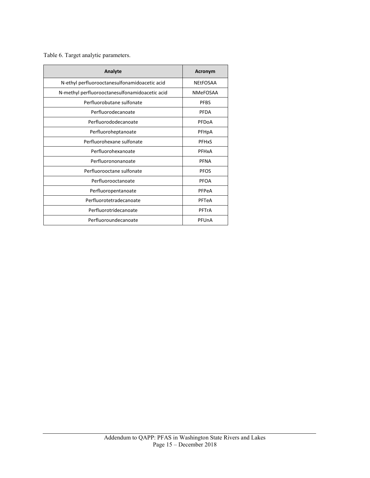Table 6. Target analytic parameters.

| Analyte                                        | Acronym         |
|------------------------------------------------|-----------------|
| N-ethyl perfluorooctanesulfonamidoacetic acid  | <b>NEtFOSAA</b> |
| N-methyl perfluorooctanesulfonamidoacetic acid | <b>NMeFOSAA</b> |
| Perfluorobutane sulfonate                      | <b>PFBS</b>     |
| Perfluorodecanoate                             | <b>PFDA</b>     |
| Perfluorododecanoate                           | PFDoA           |
| Perfluoroheptanoate                            | PFHpA           |
| Perfluorohexane sulfonate                      | <b>PFHxS</b>    |
| Perfluorohexanoate                             | PFHxA           |
| Perfluorononanoate                             | <b>PFNA</b>     |
| Perfluorooctane sulfonate                      | <b>PFOS</b>     |
| Perfluorooctanoate                             | <b>PFOA</b>     |
| Perfluoropentanoate                            | PFPeA           |
| Perfluorotetradecanoate                        | PFTeA           |
| Perfluorotridecanoate                          | PFTrA           |
| Perfluoroundecanoate                           | PFUnA           |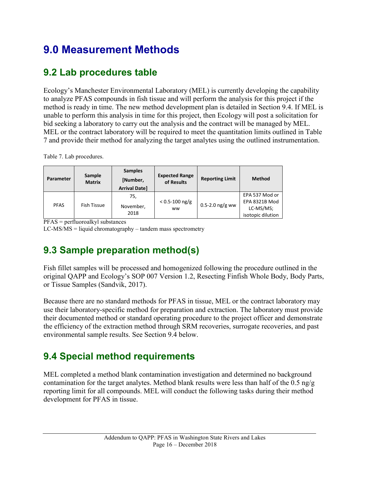## **9.0 Measurement Methods**

### **9.2 Lab procedures table**

Ecology's Manchester Environmental Laboratory (MEL) is currently developing the capability to analyze PFAS compounds in fish tissue and will perform the analysis for this project if the method is ready in time. The new method development plan is detailed in Section 9.4. If MEL is unable to perform this analysis in time for this project, then Ecology will post a solicitation for bid seeking a laboratory to carry out the analysis and the contract will be managed by MEL. MEL or the contract laboratory will be required to meet the quantitation limits outlined in Table 7 and provide their method for analyzing the target analytes using the outlined instrumentation.

Table 7. Lab procedures.

| Parameter   | Sample<br><b>Matrix</b> | <b>Samples</b><br>[Number,<br><b>Arrival Date]</b> | <b>Expected Range</b><br>of Results | <b>Reporting Limit</b> | <b>Method</b>                                                            |
|-------------|-------------------------|----------------------------------------------------|-------------------------------------|------------------------|--------------------------------------------------------------------------|
| <b>PFAS</b> | <b>Fish Tissue</b>      | 75,<br>November,<br>2018                           | $< 0.5 - 100$ ng/g<br><b>WW</b>     | $0.5 - 2.0$ ng/g ww    | EPA 537 Mod or<br><b>EPA 8321B Mod</b><br>LC-MS/MS;<br>isotopic dilution |

PFAS = perfluoroalkyl substances

LC-MS/MS = liquid chromatography – tandem mass spectrometry

### **9.3 Sample preparation method(s)**

Fish fillet samples will be processed and homogenized following the procedure outlined in the original QAPP and Ecology's SOP 007 Version 1.2, Resecting Finfish Whole Body, Body Parts, or Tissue Samples (Sandvik, 2017).

Because there are no standard methods for PFAS in tissue, MEL or the contract laboratory may use their laboratory-specific method for preparation and extraction. The laboratory must provide their documented method or standard operating procedure to the project officer and demonstrate the efficiency of the extraction method through SRM recoveries, surrogate recoveries, and past environmental sample results. See Section 9.4 below.

### **9.4 Special method requirements**

MEL completed a method blank contamination investigation and determined no background contamination for the target analytes. Method blank results were less than half of the  $0.5 \text{ ng/g}$ reporting limit for all compounds. MEL will conduct the following tasks during their method development for PFAS in tissue.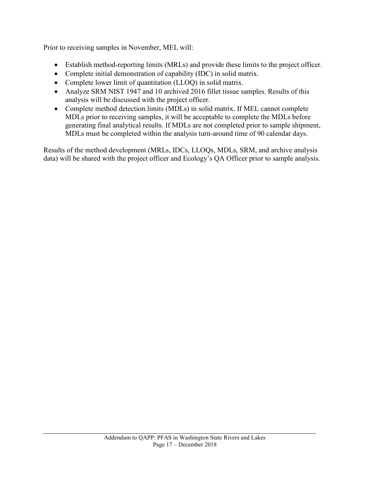Prior to receiving samples in November, MEL will:

- Establish method-reporting limits (MRLs) and provide these limits to the project officer.
- Complete initial demonstration of capability (IDC) in solid matrix.
- Complete lower limit of quantitation (LLOQ) in solid matrix.
- Analyze SRM NIST 1947 and 10 archived 2016 fillet tissue samples. Results of this analysis will be discussed with the project officer.
- Complete method detection limits (MDLs) in solid matrix. If MEL cannot complete MDLs prior to receiving samples, it will be acceptable to complete the MDLs before generating final analytical results. If MDLs are not completed prior to sample shipment, MDLs must be completed within the analysis turn-around time of 90 calendar days.

Results of the method development (MRLs, IDCs, LLOQs, MDLs, SRM, and archive analysis data) will be shared with the project officer and Ecology's QA Officer prior to sample analysis.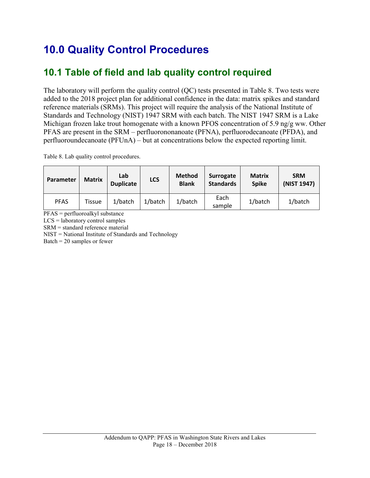## **10.0 Quality Control Procedures**

### **10.1 Table of field and lab quality control required**

The laboratory will perform the quality control (QC) tests presented in Table 8. Two tests were added to the 2018 project plan for additional confidence in the data: matrix spikes and standard reference materials (SRMs). This project will require the analysis of the National Institute of Standards and Technology (NIST) 1947 SRM with each batch. The NIST 1947 SRM is a Lake Michigan frozen lake trout homogenate with a known PFOS concentration of 5.9 ng/g ww. Other PFAS are present in the SRM – perfluorononanoate (PFNA), perfluorodecanoate (PFDA), and perfluoroundecanoate (PFUnA) – but at concentrations below the expected reporting limit.

Table 8. Lab quality control procedures.

| Parameter   | <b>Matrix</b> | Lab<br><b>Duplicate</b> | <b>LCS</b> | <b>Method</b><br><b>Blank</b> | Surrogate<br><b>Standards</b> | <b>Matrix</b><br><b>Spike</b> | <b>SRM</b><br>(NIST 1947) |
|-------------|---------------|-------------------------|------------|-------------------------------|-------------------------------|-------------------------------|---------------------------|
| <b>PFAS</b> | Tissue        | $1/b$ atch              | $1/b$ atch | $1/b$ atch                    | Each<br>sample                | $1/b$ atch                    | 1/batch                   |

PFAS = perfluoroalkyl substance

LCS = laboratory control samples

SRM = standard reference material

NIST = National Institute of Standards and Technology

Batch =  $20$  samples or fewer